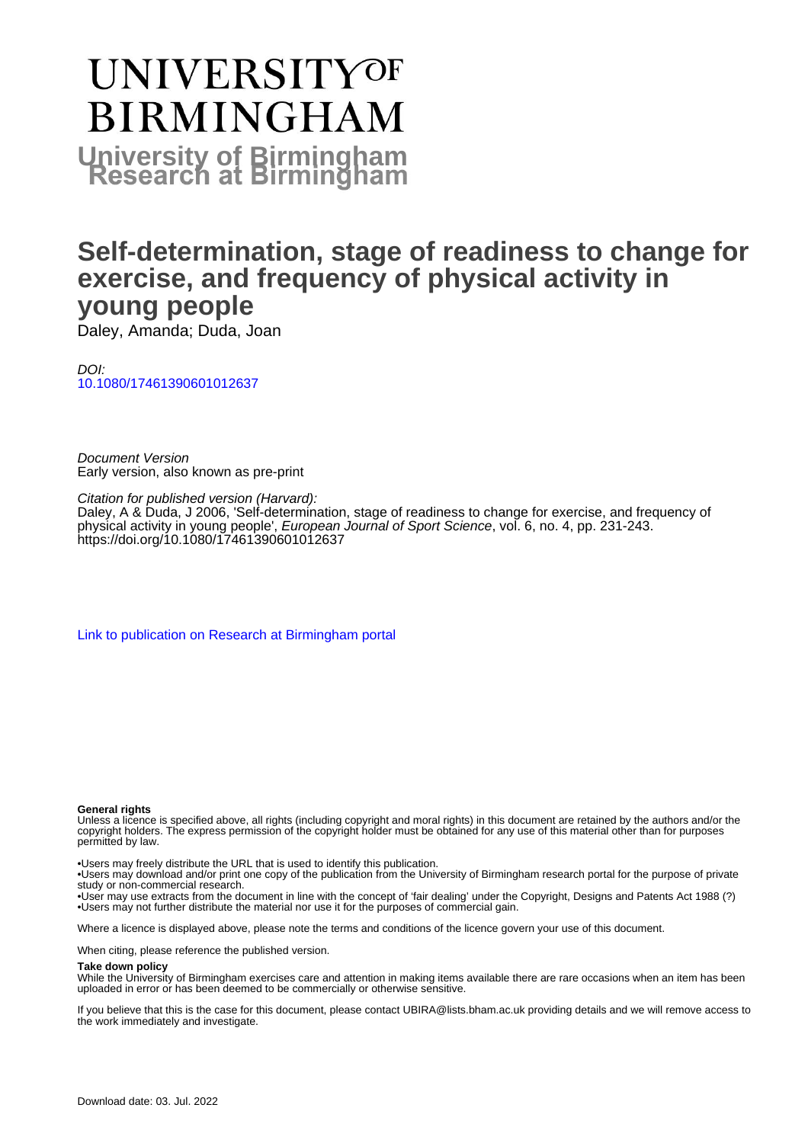# **UNIVERSITYOF BIRMINGHAM University of Birmingham**

## **Self-determination, stage of readiness to change for exercise, and frequency of physical activity in young people**

Daley, Amanda; Duda, Joan

DOI: [10.1080/17461390601012637](https://doi.org/10.1080/17461390601012637)

Document Version Early version, also known as pre-print

Citation for published version (Harvard):

Daley, A & Duda, J 2006, 'Self-determination, stage of readiness to change for exercise, and frequency of physical activity in young people', European Journal of Sport Science, vol. 6, no. 4, pp. 231-243. <https://doi.org/10.1080/17461390601012637>

[Link to publication on Research at Birmingham portal](https://birmingham.elsevierpure.com/en/publications/75aa9be4-ee88-4ea1-afa5-7b0d0a7094d5)

#### **General rights**

Unless a licence is specified above, all rights (including copyright and moral rights) in this document are retained by the authors and/or the copyright holders. The express permission of the copyright holder must be obtained for any use of this material other than for purposes permitted by law.

• Users may freely distribute the URL that is used to identify this publication.

• Users may download and/or print one copy of the publication from the University of Birmingham research portal for the purpose of private study or non-commercial research.

• User may use extracts from the document in line with the concept of 'fair dealing' under the Copyright, Designs and Patents Act 1988 (?) • Users may not further distribute the material nor use it for the purposes of commercial gain.

Where a licence is displayed above, please note the terms and conditions of the licence govern your use of this document.

When citing, please reference the published version.

#### **Take down policy**

While the University of Birmingham exercises care and attention in making items available there are rare occasions when an item has been uploaded in error or has been deemed to be commercially or otherwise sensitive.

If you believe that this is the case for this document, please contact UBIRA@lists.bham.ac.uk providing details and we will remove access to the work immediately and investigate.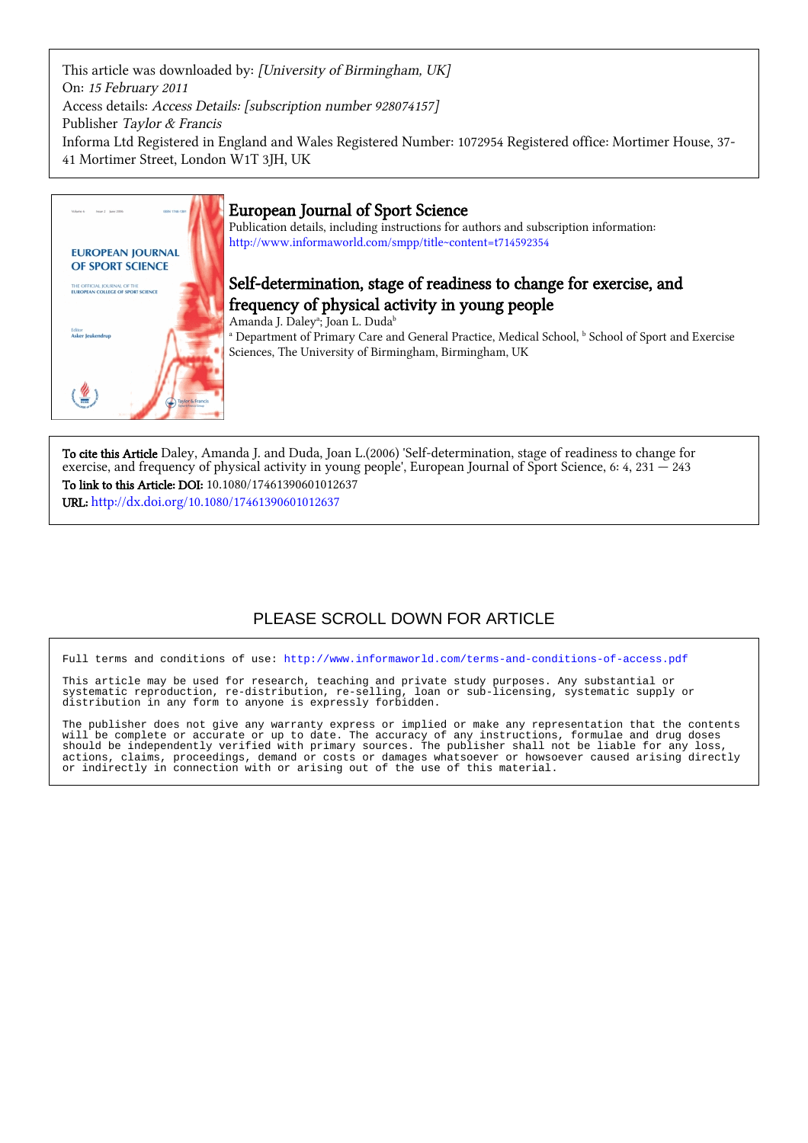This article was downloaded by: [University of Birmingham, UK] On: 15 February 2011 Access details: Access Details: [subscription number 928074157] Publisher Taylor & Francis Informa Ltd Registered in England and Wales Registered Number: 1072954 Registered office: Mortimer House, 37- 41 Mortimer Street, London W1T 3JH, UK



### European Journal of Sport Science

Publication details, including instructions for authors and subscription information: <http://www.informaworld.com/smpp/title~content=t714592354>

## Self-determination, stage of readiness to change for exercise, and frequency of physical activity in young people

Amanda J. Daleyª; Joan L. Duda<sup>b</sup>

<sup>a</sup> Department of Primary Care and General Practice, Medical School, <sup>b</sup> School of Sport and Exercise Sciences, The University of Birmingham, Birmingham, UK

To cite this Article Daley, Amanda J. and Duda, Joan L.(2006) 'Self-determination, stage of readiness to change for exercise, and frequency of physical activity in young people', European Journal of Sport Science, 6: 4, 231  $-$  243 To link to this Article: DOI: 10.1080/17461390601012637 URL: <http://dx.doi.org/10.1080/17461390601012637>

## PLEASE SCROLL DOWN FOR ARTICLE

Full terms and conditions of use:<http://www.informaworld.com/terms-and-conditions-of-access.pdf>

This article may be used for research, teaching and private study purposes. Any substantial or systematic reproduction, re-distribution, re-selling, loan or sub-licensing, systematic supply or distribution in any form to anyone is expressly forbidden.

The publisher does not give any warranty express or implied or make any representation that the contents will be complete or accurate or up to date. The accuracy of any instructions, formulae and drug doses should be independently verified with primary sources. The publisher shall not be liable for any loss, actions, claims, proceedings, demand or costs or damages whatsoever or howsoever caused arising directly or indirectly in connection with or arising out of the use of this material.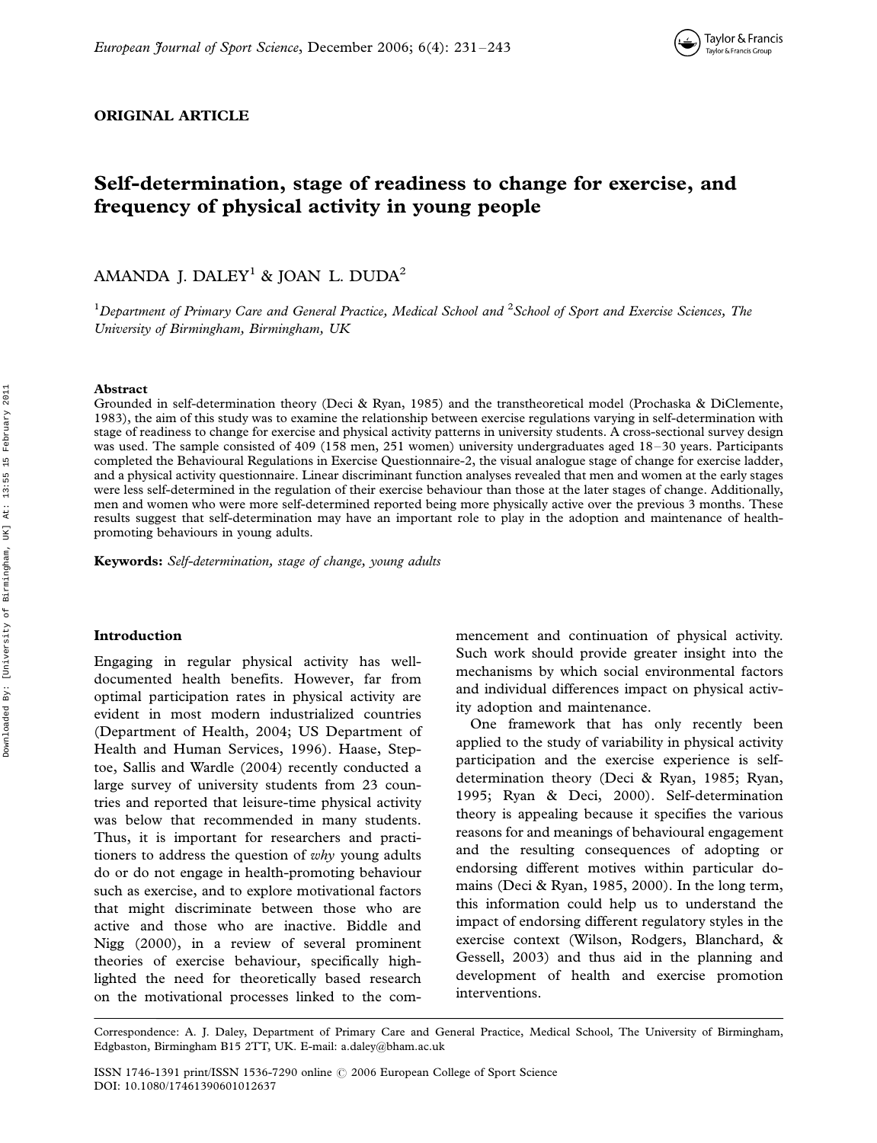#### ORIGINAL ARTICLE

## Self-determination, stage of readiness to change for exercise, and frequency of physical activity in young people

AMANDA J. DALEY<sup>1</sup> & JOAN L. DUDA<sup>2</sup>

 $^1$ Department of Primary Care and General Practice, Medical School and  $^2$ School of Sport and Exercise Sciences, The University of Birmingham, Birmingham, UK

#### Abstract

Grounded in self-determination theory (Deci & Ryan, 1985) and the transtheoretical model (Prochaska & DiClemente, 1983), the aim of this study was to examine the relationship between exercise regulations varying in self-determination with stage of readiness to change for exercise and physical activity patterns in university students. A cross-sectional survey design was used. The sample consisted of 409 (158 men, 251 women) university undergraduates aged 18-30 years. Participants completed the Behavioural Regulations in Exercise Questionnaire-2, the visual analogue stage of change for exercise ladder, and a physical activity questionnaire. Linear discriminant function analyses revealed that men and women at the early stages were less self-determined in the regulation of their exercise behaviour than those at the later stages of change. Additionally, men and women who were more self-determined reported being more physically active over the previous 3 months. These results suggest that self-determination may have an important role to play in the adoption and maintenance of healthpromoting behaviours in young adults.

Keywords: Self-determination, stage of change, young adults

#### Introduction

Engaging in regular physical activity has welldocumented health benefits. However, far from optimal participation rates in physical activity are evident in most modern industrialized countries (Department of Health, 2004; US Department of Health and Human Services, 1996). Haase, Steptoe, Sallis and Wardle (2004) recently conducted a large survey of university students from 23 countries and reported that leisure-time physical activity was below that recommended in many students. Thus, it is important for researchers and practitioners to address the question of why young adults do or do not engage in health-promoting behaviour such as exercise, and to explore motivational factors that might discriminate between those who are active and those who are inactive. Biddle and Nigg (2000), in a review of several prominent theories of exercise behaviour, specifically highlighted the need for theoretically based research on the motivational processes linked to the commencement and continuation of physical activity. Such work should provide greater insight into the mechanisms by which social environmental factors and individual differences impact on physical activity adoption and maintenance.

One framework that has only recently been applied to the study of variability in physical activity participation and the exercise experience is selfdetermination theory (Deci & Ryan, 1985; Ryan, 1995; Ryan & Deci, 2000). Self-determination theory is appealing because it specifies the various reasons for and meanings of behavioural engagement and the resulting consequences of adopting or endorsing different motives within particular domains (Deci & Ryan, 1985, 2000). In the long term, this information could help us to understand the impact of endorsing different regulatory styles in the exercise context (Wilson, Rodgers, Blanchard, & Gessell, 2003) and thus aid in the planning and development of health and exercise promotion interventions.

Correspondence: A. J. Daley, Department of Primary Care and General Practice, Medical School, The University of Birmingham, Edgbaston, Birmingham B15 2TT, UK. E-mail: a.daley@bham.ac.uk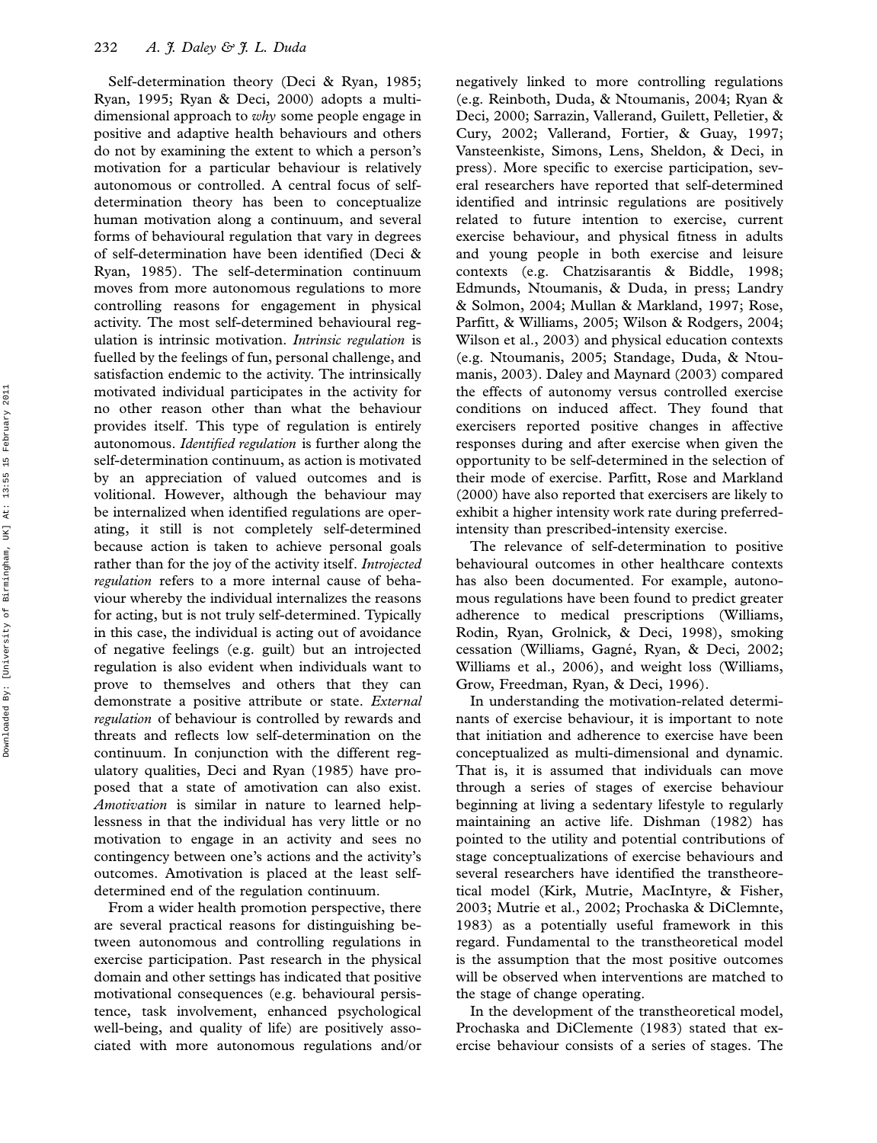Self-determination theory (Deci & Ryan, 1985; Ryan, 1995; Ryan & Deci, 2000) adopts a multidimensional approach to why some people engage in positive and adaptive health behaviours and others do not by examining the extent to which a person's motivation for a particular behaviour is relatively autonomous or controlled. A central focus of selfdetermination theory has been to conceptualize human motivation along a continuum, and several forms of behavioural regulation that vary in degrees of self-determination have been identified (Deci & Ryan, 1985). The self-determination continuum moves from more autonomous regulations to more controlling reasons for engagement in physical activity. The most self-determined behavioural regulation is intrinsic motivation. Intrinsic regulation is fuelled by the feelings of fun, personal challenge, and satisfaction endemic to the activity. The intrinsically motivated individual participates in the activity for no other reason other than what the behaviour provides itself. This type of regulation is entirely autonomous. Identified regulation is further along the self-determination continuum, as action is motivated by an appreciation of valued outcomes and is volitional. However, although the behaviour may be internalized when identified regulations are operating, it still is not completely self-determined because action is taken to achieve personal goals rather than for the joy of the activity itself. *Introjected* regulation refers to a more internal cause of behaviour whereby the individual internalizes the reasons for acting, but is not truly self-determined. Typically in this case, the individual is acting out of avoidance of negative feelings (e.g. guilt) but an introjected regulation is also evident when individuals want to prove to themselves and others that they can demonstrate a positive attribute or state. External regulation of behaviour is controlled by rewards and threats and reflects low self-determination on the continuum. In conjunction with the different regulatory qualities, Deci and Ryan (1985) have proposed that a state of amotivation can also exist. Amotivation is similar in nature to learned helplessness in that the individual has very little or no motivation to engage in an activity and sees no contingency between one's actions and the activity's outcomes. Amotivation is placed at the least selfdetermined end of the regulation continuum.

From a wider health promotion perspective, there are several practical reasons for distinguishing between autonomous and controlling regulations in exercise participation. Past research in the physical domain and other settings has indicated that positive motivational consequences (e.g. behavioural persistence, task involvement, enhanced psychological well-being, and quality of life) are positively associated with more autonomous regulations and/or

negatively linked to more controlling regulations (e.g. Reinboth, Duda, & Ntoumanis, 2004; Ryan & Deci, 2000; Sarrazin, Vallerand, Guilett, Pelletier, & Cury, 2002; Vallerand, Fortier, & Guay, 1997; Vansteenkiste, Simons, Lens, Sheldon, & Deci, in press). More specific to exercise participation, several researchers have reported that self-determined identified and intrinsic regulations are positively related to future intention to exercise, current exercise behaviour, and physical fitness in adults and young people in both exercise and leisure contexts (e.g. Chatzisarantis & Biddle, 1998; Edmunds, Ntoumanis, & Duda, in press; Landry & Solmon, 2004; Mullan & Markland, 1997; Rose, Parfitt, & Williams, 2005; Wilson & Rodgers, 2004; Wilson et al., 2003) and physical education contexts (e.g. Ntoumanis, 2005; Standage, Duda, & Ntoumanis, 2003). Daley and Maynard (2003) compared the effects of autonomy versus controlled exercise conditions on induced affect. They found that exercisers reported positive changes in affective responses during and after exercise when given the opportunity to be self-determined in the selection of their mode of exercise. Parfitt, Rose and Markland (2000) have also reported that exercisers are likely to exhibit a higher intensity work rate during preferredintensity than prescribed-intensity exercise.

The relevance of self-determination to positive behavioural outcomes in other healthcare contexts has also been documented. For example, autonomous regulations have been found to predict greater adherence to medical prescriptions (Williams, Rodin, Ryan, Grolnick, & Deci, 1998), smoking cessation (Williams, Gagné, Ryan, & Deci, 2002; Williams et al., 2006), and weight loss (Williams, Grow, Freedman, Ryan, & Deci, 1996).

In understanding the motivation-related determinants of exercise behaviour, it is important to note that initiation and adherence to exercise have been conceptualized as multi-dimensional and dynamic. That is, it is assumed that individuals can move through a series of stages of exercise behaviour beginning at living a sedentary lifestyle to regularly maintaining an active life. Dishman (1982) has pointed to the utility and potential contributions of stage conceptualizations of exercise behaviours and several researchers have identified the transtheoretical model (Kirk, Mutrie, MacIntyre, & Fisher, 2003; Mutrie et al., 2002; Prochaska & DiClemnte, 1983) as a potentially useful framework in this regard. Fundamental to the transtheoretical model is the assumption that the most positive outcomes will be observed when interventions are matched to the stage of change operating.

In the development of the transtheoretical model, Prochaska and DiClemente (1983) stated that exercise behaviour consists of a series of stages. The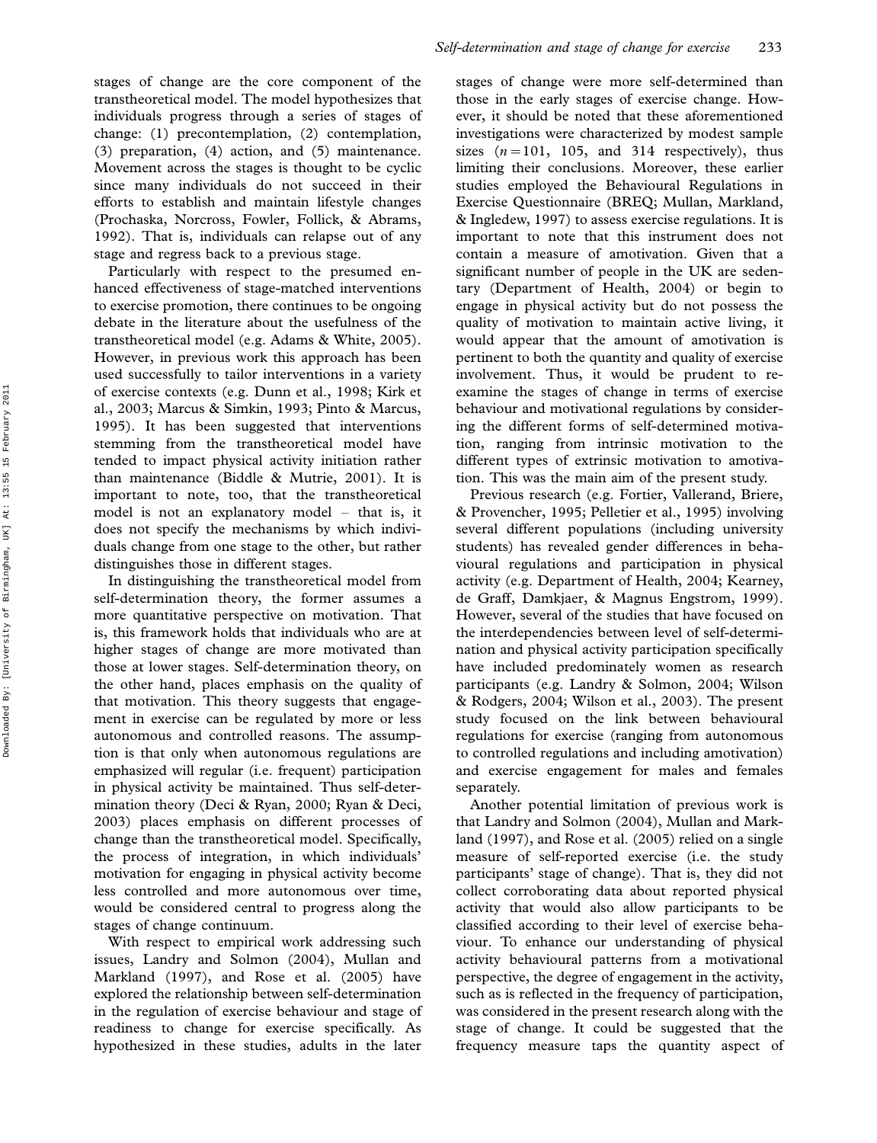stages of change are the core component of the transtheoretical model. The model hypothesizes that individuals progress through a series of stages of change: (1) precontemplation, (2) contemplation, (3) preparation, (4) action, and (5) maintenance. Movement across the stages is thought to be cyclic since many individuals do not succeed in their efforts to establish and maintain lifestyle changes (Prochaska, Norcross, Fowler, Follick, & Abrams, 1992). That is, individuals can relapse out of any stage and regress back to a previous stage.

Particularly with respect to the presumed enhanced effectiveness of stage-matched interventions to exercise promotion, there continues to be ongoing debate in the literature about the usefulness of the transtheoretical model (e.g. Adams & White, 2005). However, in previous work this approach has been used successfully to tailor interventions in a variety of exercise contexts (e.g. Dunn et al., 1998; Kirk et al., 2003; Marcus & Simkin, 1993; Pinto & Marcus, 1995). It has been suggested that interventions stemming from the transtheoretical model have tended to impact physical activity initiation rather than maintenance (Biddle & Mutrie, 2001). It is important to note, too, that the transtheoretical model is not an explanatory model  $-$  that is, it does not specify the mechanisms by which individuals change from one stage to the other, but rather distinguishes those in different stages.

In distinguishing the transtheoretical model from self-determination theory, the former assumes a more quantitative perspective on motivation. That is, this framework holds that individuals who are at higher stages of change are more motivated than those at lower stages. Self-determination theory, on the other hand, places emphasis on the quality of that motivation. This theory suggests that engagement in exercise can be regulated by more or less autonomous and controlled reasons. The assumption is that only when autonomous regulations are emphasized will regular (i.e. frequent) participation in physical activity be maintained. Thus self-determination theory (Deci & Ryan, 2000; Ryan & Deci, 2003) places emphasis on different processes of change than the transtheoretical model. Specifically, the process of integration, in which individuals' motivation for engaging in physical activity become less controlled and more autonomous over time, would be considered central to progress along the stages of change continuum.

With respect to empirical work addressing such issues, Landry and Solmon (2004), Mullan and Markland (1997), and Rose et al. (2005) have explored the relationship between self-determination in the regulation of exercise behaviour and stage of readiness to change for exercise specifically. As hypothesized in these studies, adults in the later

stages of change were more self-determined than those in the early stages of exercise change. However, it should be noted that these aforementioned investigations were characterized by modest sample sizes  $(n=101, 105,$  and 314 respectively), thus limiting their conclusions. Moreover, these earlier studies employed the Behavioural Regulations in Exercise Questionnaire (BREQ; Mullan, Markland, & Ingledew, 1997) to assess exercise regulations. It is important to note that this instrument does not contain a measure of amotivation. Given that a significant number of people in the UK are sedentary (Department of Health, 2004) or begin to engage in physical activity but do not possess the quality of motivation to maintain active living, it would appear that the amount of amotivation is pertinent to both the quantity and quality of exercise involvement. Thus, it would be prudent to reexamine the stages of change in terms of exercise behaviour and motivational regulations by considering the different forms of self-determined motivation, ranging from intrinsic motivation to the different types of extrinsic motivation to amotivation. This was the main aim of the present study.

Previous research (e.g. Fortier, Vallerand, Briere, & Provencher, 1995; Pelletier et al., 1995) involving several different populations (including university students) has revealed gender differences in behavioural regulations and participation in physical activity (e.g. Department of Health, 2004; Kearney, de Graff, Damkjaer, & Magnus Engstrom, 1999). However, several of the studies that have focused on the interdependencies between level of self-determination and physical activity participation specifically have included predominately women as research participants (e.g. Landry & Solmon, 2004; Wilson & Rodgers, 2004; Wilson et al., 2003). The present study focused on the link between behavioural regulations for exercise (ranging from autonomous to controlled regulations and including amotivation) and exercise engagement for males and females separately.

Another potential limitation of previous work is that Landry and Solmon (2004), Mullan and Markland (1997), and Rose et al. (2005) relied on a single measure of self-reported exercise (i.e. the study participants' stage of change). That is, they did not collect corroborating data about reported physical activity that would also allow participants to be classified according to their level of exercise behaviour. To enhance our understanding of physical activity behavioural patterns from a motivational perspective, the degree of engagement in the activity, such as is reflected in the frequency of participation, was considered in the present research along with the stage of change. It could be suggested that the frequency measure taps the quantity aspect of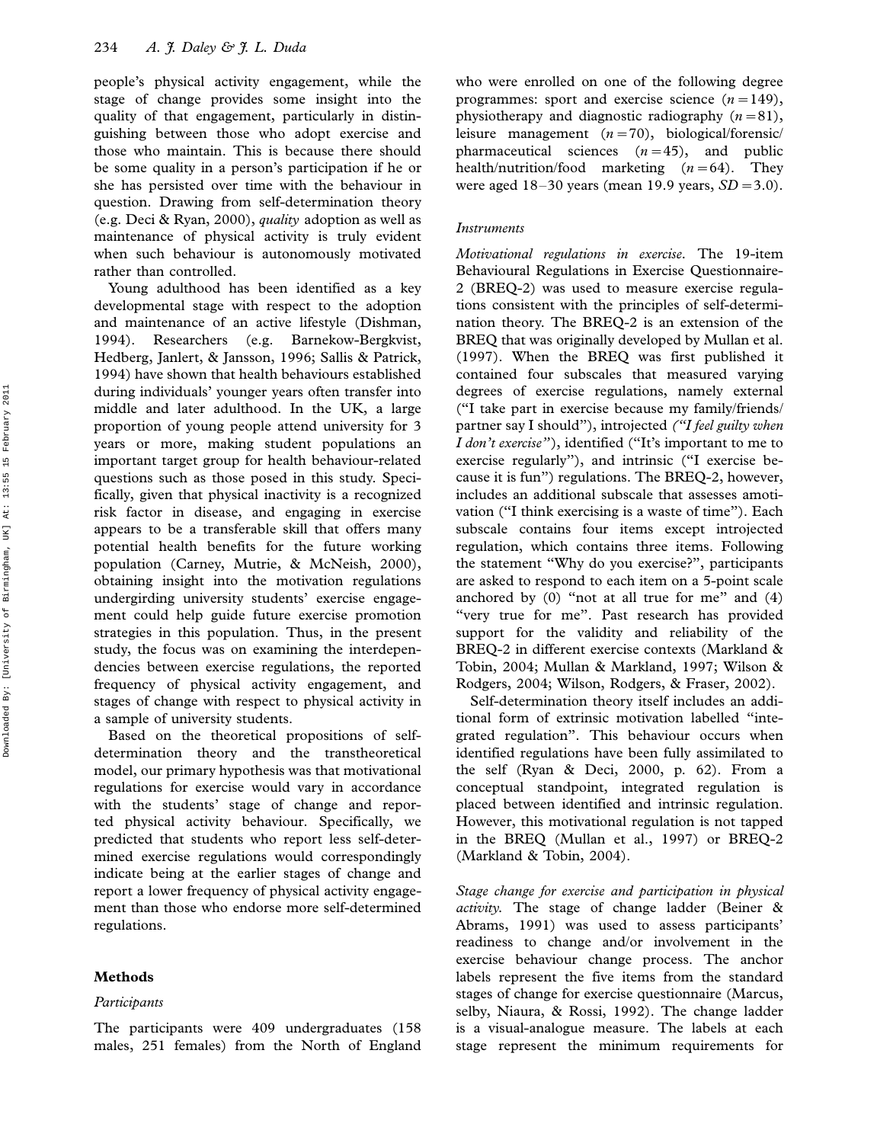people's physical activity engagement, while the stage of change provides some insight into the quality of that engagement, particularly in distinguishing between those who adopt exercise and those who maintain. This is because there should be some quality in a person's participation if he or she has persisted over time with the behaviour in question. Drawing from self-determination theory (e.g. Deci & Ryan, 2000), quality adoption as well as maintenance of physical activity is truly evident when such behaviour is autonomously motivated rather than controlled.

Young adulthood has been identified as a key developmental stage with respect to the adoption and maintenance of an active lifestyle (Dishman, 1994). Researchers (e.g. Barnekow-Bergkvist, Hedberg, Janlert, & Jansson, 1996; Sallis & Patrick, 1994) have shown that health behaviours established during individuals' younger years often transfer into middle and later adulthood. In the UK, a large proportion of young people attend university for 3 years or more, making student populations an important target group for health behaviour-related questions such as those posed in this study. Specifically, given that physical inactivity is a recognized risk factor in disease, and engaging in exercise appears to be a transferable skill that offers many potential health benefits for the future working population (Carney, Mutrie, & McNeish, 2000), obtaining insight into the motivation regulations undergirding university students' exercise engagement could help guide future exercise promotion strategies in this population. Thus, in the present study, the focus was on examining the interdependencies between exercise regulations, the reported frequency of physical activity engagement, and stages of change with respect to physical activity in a sample of university students.

Based on the theoretical propositions of selfdetermination theory and the transtheoretical model, our primary hypothesis was that motivational regulations for exercise would vary in accordance with the students' stage of change and reported physical activity behaviour. Specifically, we predicted that students who report less self-determined exercise regulations would correspondingly indicate being at the earlier stages of change and report a lower frequency of physical activity engagement than those who endorse more self-determined regulations.

#### Methods

#### Participants

The participants were 409 undergraduates (158 males, 251 females) from the North of England who were enrolled on one of the following degree programmes: sport and exercise science  $(n=149)$ , physiotherapy and diagnostic radiography  $(n=81)$ , leisure management  $(n=70)$ , biological/forensic/ pharmaceutical sciences  $(n=45)$ , and public health/nutrition/food marketing  $(n=64)$ . They were aged  $18-30$  years (mean 19.9 years,  $SD = 3.0$ ).

#### Instruments

Motivational regulations in exercise. The 19-item Behavioural Regulations in Exercise Questionnaire-2 (BREQ-2) was used to measure exercise regulations consistent with the principles of self-determination theory. The BREQ-2 is an extension of the BREQ that was originally developed by Mullan et al. (1997). When the BREQ was first published it contained four subscales that measured varying degrees of exercise regulations, namely external (''I take part in exercise because my family/friends/ partner say I should"), introjected ("I feel guilty when I don't exercise"), identified ("It's important to me to exercise regularly''), and intrinsic (''I exercise because it is fun'') regulations. The BREQ-2, however, includes an additional subscale that assesses amotivation (''I think exercising is a waste of time''). Each subscale contains four items except introjected regulation, which contains three items. Following the statement ''Why do you exercise?'', participants are asked to respond to each item on a 5-point scale anchored by  $(0)$  "not at all true for me" and  $(4)$ "very true for me". Past research has provided support for the validity and reliability of the BREQ-2 in different exercise contexts (Markland & Tobin, 2004; Mullan & Markland, 1997; Wilson & Rodgers, 2004; Wilson, Rodgers, & Fraser, 2002).

Self-determination theory itself includes an additional form of extrinsic motivation labelled ''integrated regulation''. This behaviour occurs when identified regulations have been fully assimilated to the self (Ryan & Deci, 2000, p. 62). From a conceptual standpoint, integrated regulation is placed between identified and intrinsic regulation. However, this motivational regulation is not tapped in the BREQ (Mullan et al., 1997) or BREQ-2 (Markland & Tobin, 2004).

Stage change for exercise and participation in physical activity. The stage of change ladder (Beiner & Abrams, 1991) was used to assess participants' readiness to change and/or involvement in the exercise behaviour change process. The anchor labels represent the five items from the standard stages of change for exercise questionnaire (Marcus, selby, Niaura, & Rossi, 1992). The change ladder is a visual-analogue measure. The labels at each stage represent the minimum requirements for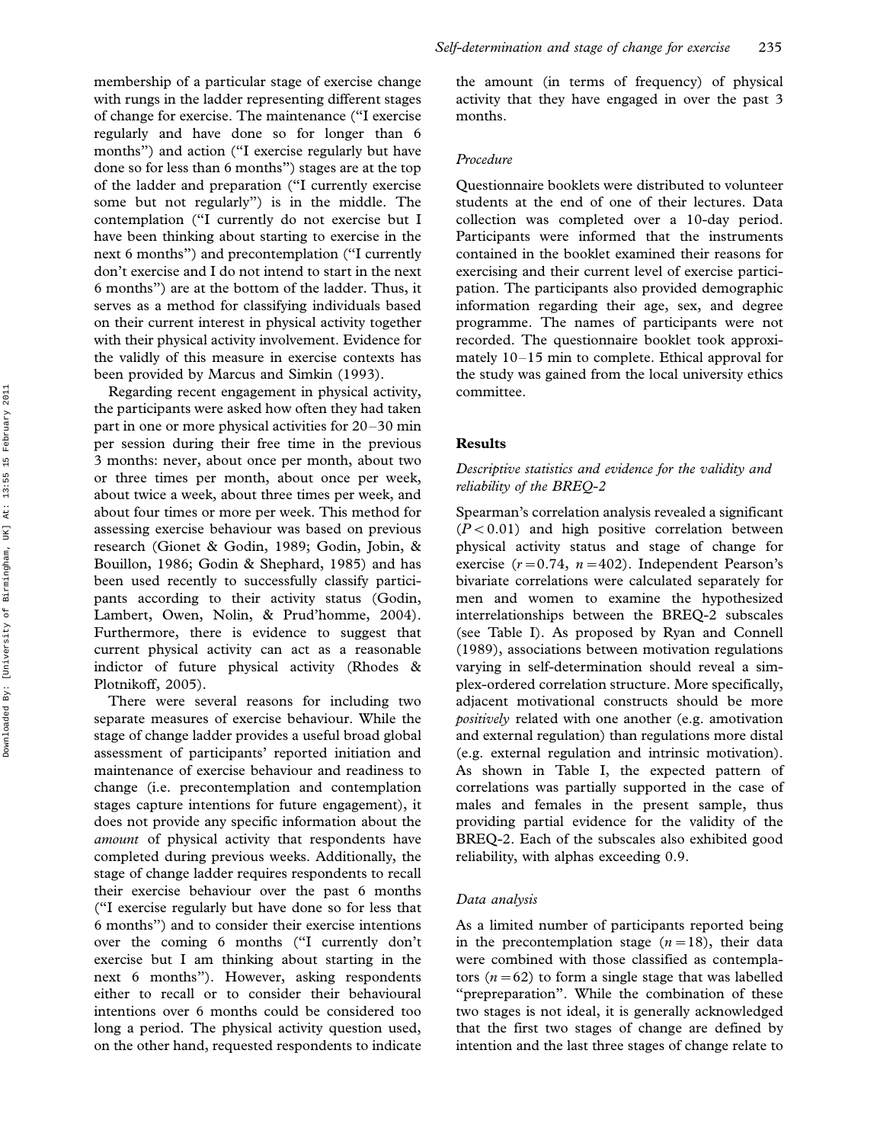membership of a particular stage of exercise change with rungs in the ladder representing different stages of change for exercise. The maintenance (''I exercise regularly and have done so for longer than 6 months") and action ("I exercise regularly but have done so for less than 6 months'') stages are at the top of the ladder and preparation (''I currently exercise some but not regularly'') is in the middle. The contemplation (''I currently do not exercise but I have been thinking about starting to exercise in the next 6 months'') and precontemplation (''I currently don't exercise and I do not intend to start in the next 6 months'') are at the bottom of the ladder. Thus, it serves as a method for classifying individuals based on their current interest in physical activity together with their physical activity involvement. Evidence for the validly of this measure in exercise contexts has been provided by Marcus and Simkin (1993).

Regarding recent engagement in physical activity, the participants were asked how often they had taken part in one or more physical activities for  $20-30$  min per session during their free time in the previous 3 months: never, about once per month, about two or three times per month, about once per week, about twice a week, about three times per week, and about four times or more per week. This method for assessing exercise behaviour was based on previous research (Gionet & Godin, 1989; Godin, Jobin, & Bouillon, 1986; Godin & Shephard, 1985) and has been used recently to successfully classify participants according to their activity status (Godin, Lambert, Owen, Nolin, & Prud'homme, 2004). Furthermore, there is evidence to suggest that current physical activity can act as a reasonable indictor of future physical activity (Rhodes & Plotnikoff, 2005).

There were several reasons for including two separate measures of exercise behaviour. While the stage of change ladder provides a useful broad global assessment of participants' reported initiation and maintenance of exercise behaviour and readiness to change (i.e. precontemplation and contemplation stages capture intentions for future engagement), it does not provide any specific information about the amount of physical activity that respondents have completed during previous weeks. Additionally, the stage of change ladder requires respondents to recall their exercise behaviour over the past 6 months (''I exercise regularly but have done so for less that 6 months'') and to consider their exercise intentions over the coming 6 months (''I currently don't exercise but I am thinking about starting in the next 6 months''). However, asking respondents either to recall or to consider their behavioural intentions over 6 months could be considered too long a period. The physical activity question used, on the other hand, requested respondents to indicate

the amount (in terms of frequency) of physical activity that they have engaged in over the past 3 months.

#### Procedure

Questionnaire booklets were distributed to volunteer students at the end of one of their lectures. Data collection was completed over a 10-day period. Participants were informed that the instruments contained in the booklet examined their reasons for exercising and their current level of exercise participation. The participants also provided demographic information regarding their age, sex, and degree programme. The names of participants were not recorded. The questionnaire booklet took approximately  $10-15$  min to complete. Ethical approval for the study was gained from the local university ethics committee.

#### Results

#### Descriptive statistics and evidence for the validity and reliability of the BREQ-2

Spearman's correlation analysis revealed a significant  $(P<0.01)$  and high positive correlation between physical activity status and stage of change for exercise  $(r=0.74, n=402)$ . Independent Pearson's bivariate correlations were calculated separately for men and women to examine the hypothesized interrelationships between the BREQ-2 subscales (see Table I). As proposed by Ryan and Connell (1989), associations between motivation regulations varying in self-determination should reveal a simplex-ordered correlation structure. More specifically, adjacent motivational constructs should be more positively related with one another (e.g. amotivation and external regulation) than regulations more distal (e.g. external regulation and intrinsic motivation). As shown in Table I, the expected pattern of correlations was partially supported in the case of males and females in the present sample, thus providing partial evidence for the validity of the BREQ-2. Each of the subscales also exhibited good reliability, with alphas exceeding 0.9.

#### Data analysis

As a limited number of participants reported being in the precontemplation stage  $(n=18)$ , their data were combined with those classified as contemplators  $(n=62)$  to form a single stage that was labelled "prepreparation". While the combination of these two stages is not ideal, it is generally acknowledged that the first two stages of change are defined by intention and the last three stages of change relate to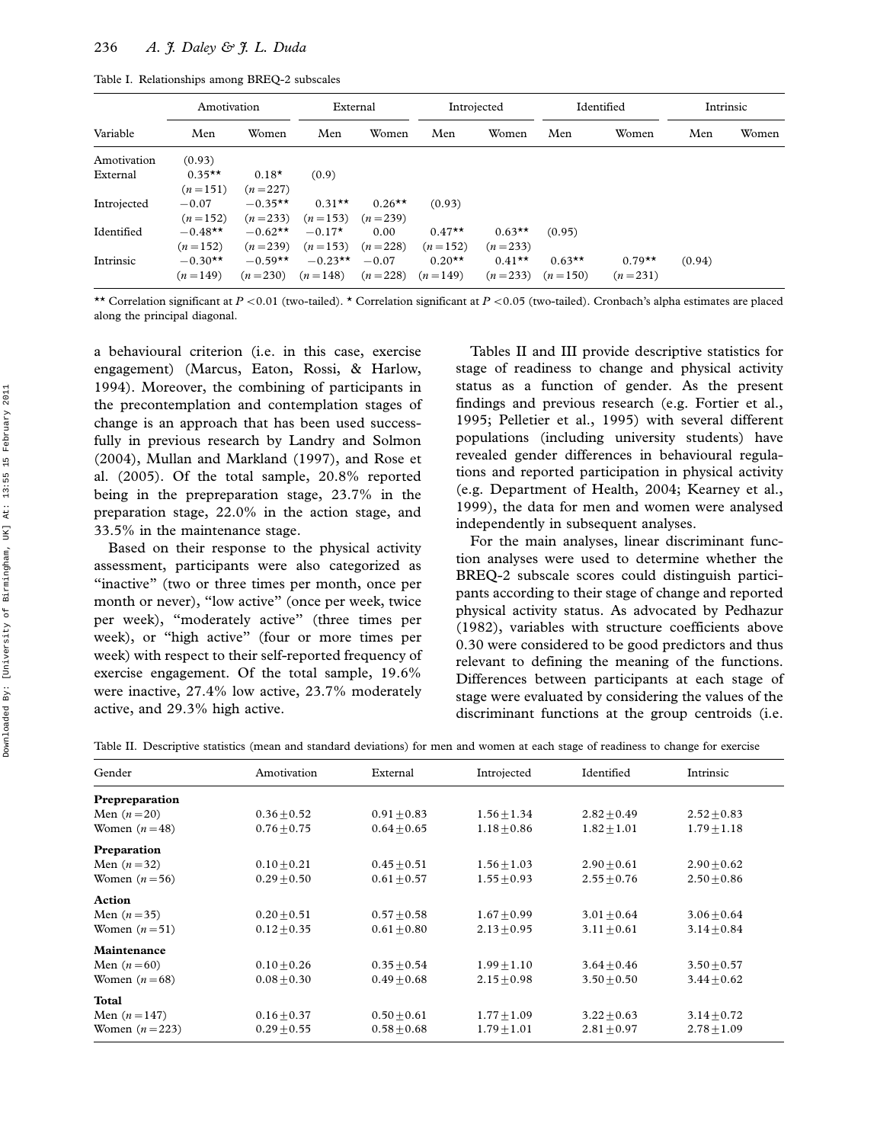| Table I. Relationships among BREQ-2 subscales |  |  |
|-----------------------------------------------|--|--|

|             | Amotivation |           |           | External  |           | Introjected |           | Identified |        | Intrinsic |
|-------------|-------------|-----------|-----------|-----------|-----------|-------------|-----------|------------|--------|-----------|
| Variable    | Men         | Women     | Men       | Women     | Men       | Women       | Men       | Women      | Men    | Women     |
| Amotivation | (0.93)      |           |           |           |           |             |           |            |        |           |
| External    | $0.35***$   | $0.18*$   | (0.9)     |           |           |             |           |            |        |           |
|             | $(n=151)$   | $(n=227)$ |           |           |           |             |           |            |        |           |
| Introjected | $-0.07$     | $-0.35**$ | $0.31**$  | $0.26**$  | (0.93)    |             |           |            |        |           |
|             | $(n=152)$   | $(n=233)$ | $(n=153)$ | $(n=239)$ |           |             |           |            |        |           |
| Identified  | $-0.48**$   | $-0.62**$ | $-0.17*$  | 0.00      | $0.47**$  | $0.63**$    | (0.95)    |            |        |           |
|             | $(n=152)$   | $(n=239)$ | $(n=153)$ | $(n=228)$ | $(n=152)$ | $(n=233)$   |           |            |        |           |
| Intrinsic   | $-0.30**$   | $-0.59**$ | $-0.23**$ | $-0.07$   | $0.20**$  | $0.41**$    | $0.63**$  | $0.79**$   | (0.94) |           |
|             | $(n=149)$   | $(n=230)$ | $(n=148)$ | $(n=228)$ | $(n=149)$ | $(n=233)$   | $(n=150)$ | $(n=231)$  |        |           |

\*\* Correlation significant at  $P < 0.01$  (two-tailed). \* Correlation significant at  $P < 0.05$  (two-tailed). Cronbach's alpha estimates are placed along the principal diagonal.

a behavioural criterion (i.e. in this case, exercise engagement) (Marcus, Eaton, Rossi, & Harlow, 1994). Moreover, the combining of participants in the precontemplation and contemplation stages of change is an approach that has been used successfully in previous research by Landry and Solmon (2004), Mullan and Markland (1997), and Rose et al. (2005). Of the total sample, 20.8% reported being in the prepreparation stage, 23.7% in the preparation stage, 22.0% in the action stage, and 33.5% in the maintenance stage.

Based on their response to the physical activity assessment, participants were also categorized as "inactive" (two or three times per month, once per month or never), "low active" (once per week, twice per week), ''moderately active'' (three times per week), or ''high active'' (four or more times per week) with respect to their self-reported frequency of exercise engagement. Of the total sample, 19.6% were inactive, 27.4% low active, 23.7% moderately active, and 29.3% high active.

Tables II and III provide descriptive statistics for stage of readiness to change and physical activity status as a function of gender. As the present findings and previous research (e.g. Fortier et al., 1995; Pelletier et al., 1995) with several different populations (including university students) have revealed gender differences in behavioural regulations and reported participation in physical activity (e.g. Department of Health, 2004; Kearney et al., 1999), the data for men and women were analysed independently in subsequent analyses.

For the main analyses, linear discriminant function analyses were used to determine whether the BREQ-2 subscale scores could distinguish participants according to their stage of change and reported physical activity status. As advocated by Pedhazur (1982), variables with structure coefficients above 0.30 were considered to be good predictors and thus relevant to defining the meaning of the functions. Differences between participants at each stage of stage were evaluated by considering the values of the discriminant functions at the group centroids (i.e.

Table II. Descriptive statistics (mean and standard deviations) for men and women at each stage of readiness to change for exercise

| Gender          | Amotivation     | External      | Introjected   | Identified      | Intrinsic     |
|-----------------|-----------------|---------------|---------------|-----------------|---------------|
| Prepreparation  |                 |               |               |                 |               |
| Men $(n=20)$    | $0.36 + 0.52$   | $0.91 + 0.83$ | $1.56 + 1.34$ | $2.82 + 0.49$   | $2.52 + 0.83$ |
| Women $(n=48)$  | $0.76 + 0.75$   | $0.64 + 0.65$ | $1.18 + 0.86$ | $1.82 + 1.01$   | $1.79 + 1.18$ |
| Preparation     |                 |               |               |                 |               |
| Men $(n=32)$    | $0.10 + 0.21$   | $0.45 + 0.51$ | $1.56 + 1.03$ | $2.90 + 0.61$   | $2.90 + 0.62$ |
| Women $(n=56)$  | $0.29 + 0.50$   | $0.61 + 0.57$ | $1.55 + 0.93$ | $2.55 + 0.76$   | $2.50 + 0.86$ |
| Action          |                 |               |               |                 |               |
| Men $(n=35)$    | $0.20 + 0.51$   | $0.57 + 0.58$ | $1.67 + 0.99$ | $3.01 + 0.64$   | $3.06 + 0.64$ |
| Women $(n=51)$  | $0.12 + 0.35$   | $0.61 + 0.80$ | $2.13 + 0.95$ | $3.11 + 0.61$   | $3.14 + 0.84$ |
| Maintenance     |                 |               |               |                 |               |
| Men $(n=60)$    | $0.10 + 0.26$   | $0.35 + 0.54$ | $1.99 + 1.10$ | $3.64 + 0.46$   | $3.50 + 0.57$ |
| Women $(n=68)$  | $0.08 + 0.30$   | $0.49 + 0.68$ | $2.15 + 0.98$ | $3.50 + 0.50$   | $3.44 + 0.62$ |
| Total           |                 |               |               |                 |               |
| Men $(n=147)$   | $0.16 \pm 0.37$ | $0.50 + 0.61$ | $1.77 + 1.09$ | $3.22 \pm 0.63$ | $3.14 + 0.72$ |
| Women $(n=223)$ | $0.29 \pm 0.55$ | $0.58 + 0.68$ | $1.79 + 1.01$ | $2.81 + 0.97$   | $2.78 + 1.09$ |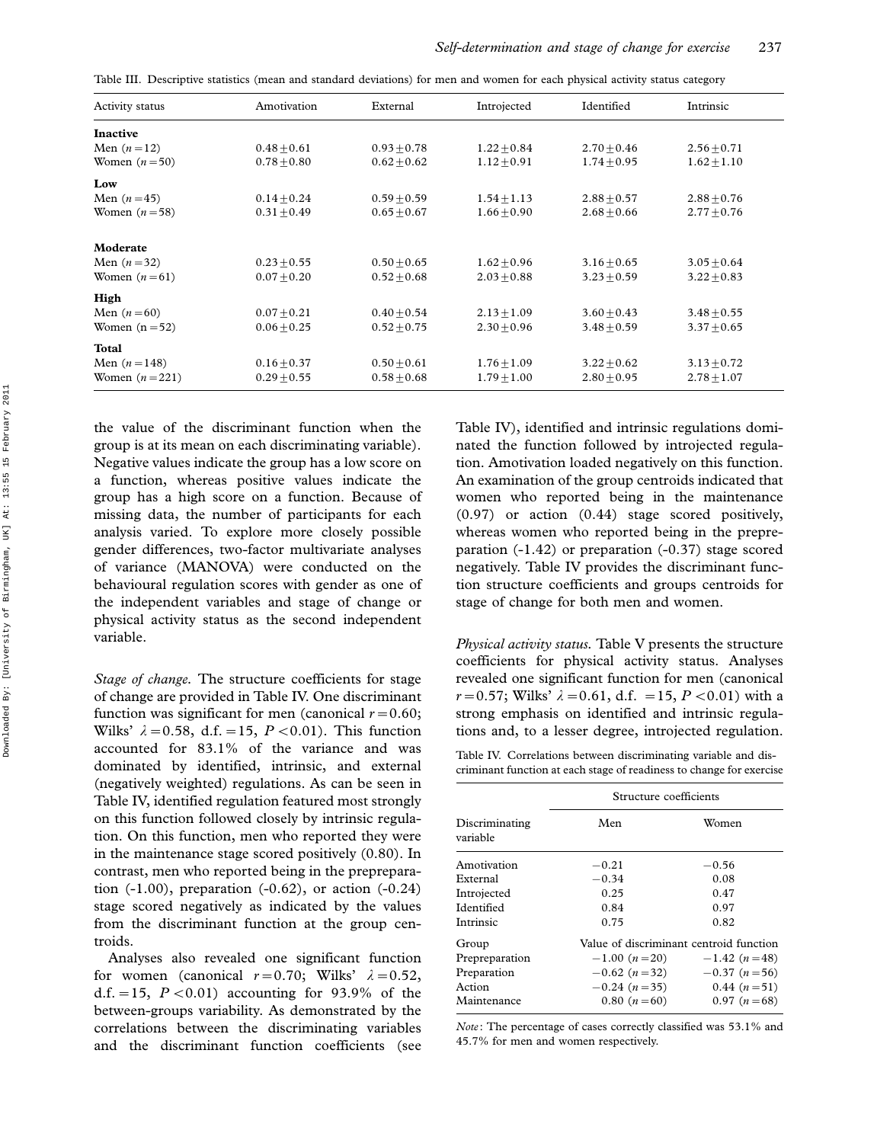| Table III. Descriptive statistics (mean and standard deviations) for men and women for each physical activity status category |  |
|-------------------------------------------------------------------------------------------------------------------------------|--|
|-------------------------------------------------------------------------------------------------------------------------------|--|

| Activity status | Amotivation     | External      | Introjected   | Identified    | Intrinsic     |
|-----------------|-----------------|---------------|---------------|---------------|---------------|
| <b>Inactive</b> |                 |               |               |               |               |
| Men $(n=12)$    | $0.48 + 0.61$   | $0.93 + 0.78$ | $1.22 + 0.84$ | $2.70 + 0.46$ | $2.56 + 0.71$ |
| Women $(n=50)$  | $0.78 + 0.80$   | $0.62 + 0.62$ | $1.12 + 0.91$ | $1.74 + 0.95$ | $1.62 + 1.10$ |
| Low             |                 |               |               |               |               |
| Men $(n=45)$    | $0.14 + 0.24$   | $0.59 + 0.59$ | $1.54 + 1.13$ | $2.88 + 0.57$ | $2.88 + 0.76$ |
| Women $(n=58)$  | $0.31 \pm 0.49$ | $0.65 + 0.67$ | $1.66 + 0.90$ | $2.68 + 0.66$ | $2.77 + 0.76$ |
| Moderate        |                 |               |               |               |               |
| Men $(n=32)$    | $0.23 + 0.55$   | $0.50 + 0.65$ | $1.62 + 0.96$ | $3.16 + 0.65$ | $3.05 + 0.64$ |
| Women $(n=61)$  | $0.07 + 0.20$   | $0.52 + 0.68$ | $2.03 + 0.88$ | $3.23 + 0.59$ | $3.22 + 0.83$ |
| High            |                 |               |               |               |               |
| Men $(n=60)$    | $0.07 + 0.21$   | $0.40 + 0.54$ | $2.13 + 1.09$ | $3.60 + 0.43$ | $3.48 + 0.55$ |
| Women $(n=52)$  | $0.06 + 0.25$   | $0.52 + 0.75$ | $2.30 + 0.96$ | $3.48 + 0.59$ | $3.37 + 0.65$ |
| Total           |                 |               |               |               |               |
| Men $(n=148)$   | $0.16 + 0.37$   | $0.50 + 0.61$ | $1.76 + 1.09$ | $3.22 + 0.62$ | $3.13 + 0.72$ |
| Women $(n=221)$ | $0.29 + 0.55$   | $0.58 + 0.68$ | $1.79 + 1.00$ | $2.80 + 0.95$ | $2.78 + 1.07$ |

the value of the discriminant function when the group is at its mean on each discriminating variable). Negative values indicate the group has a low score on a function, whereas positive values indicate the group has a high score on a function. Because of missing data, the number of participants for each analysis varied. To explore more closely possible gender differences, two-factor multivariate analyses of variance (MANOVA) were conducted on the behavioural regulation scores with gender as one of the independent variables and stage of change or physical activity status as the second independent variable.

Stage of change. The structure coefficients for stage of change are provided in Table IV. One discriminant function was significant for men (canonical  $r = 0.60$ ; Wilks'  $\lambda = 0.58$ , d.f. = 15, P < 0.01). This function accounted for 83.1% of the variance and was dominated by identified, intrinsic, and external (negatively weighted) regulations. As can be seen in Table IV, identified regulation featured most strongly on this function followed closely by intrinsic regulation. On this function, men who reported they were in the maintenance stage scored positively (0.80). In contrast, men who reported being in the prepreparation (-1.00), preparation (-0.62), or action (-0.24) stage scored negatively as indicated by the values from the discriminant function at the group centroids.

Analyses also revealed one significant function for women (canonical  $r=0.70$ ; Wilks'  $\lambda=0.52$ , d.f.  $= 15$ ,  $P < 0.01$ ) accounting for 93.9% of the between-groups variability. As demonstrated by the correlations between the discriminating variables and the discriminant function coefficients (see Table IV), identified and intrinsic regulations dominated the function followed by introjected regulation. Amotivation loaded negatively on this function. An examination of the group centroids indicated that women who reported being in the maintenance (0.97) or action (0.44) stage scored positively, whereas women who reported being in the prepreparation (-1.42) or preparation (-0.37) stage scored negatively. Table IV provides the discriminant function structure coefficients and groups centroids for stage of change for both men and women.

Physical activity status. Table V presents the structure coefficients for physical activity status. Analyses revealed one significant function for men (canonical  $r = 0.57$ ; Wilks'  $\lambda = 0.61$ , d.f.  $= 15$ ,  $P < 0.01$ ) with a strong emphasis on identified and intrinsic regulations and, to a lesser degree, introjected regulation.

Table IV. Correlations between discriminating variable and discriminant function at each stage of readiness to change for exercise

|                            | Structure coefficients                  |                  |  |
|----------------------------|-----------------------------------------|------------------|--|
| Discriminating<br>variable | Men                                     | Women            |  |
| Amotivation                | $-0.21$                                 | $-0.56$          |  |
| External                   | $-0.34$                                 | 0.08             |  |
| Introjected                | 0.25                                    | 0.47             |  |
| Identified                 | 0.84                                    | 0.97             |  |
| Intrinsic                  | 0.75                                    | 0.82             |  |
| Group                      | Value of discriminant centroid function |                  |  |
| Prepreparation             | $-1.00(n=20)$                           | $-1.42(n=48)$    |  |
| Preparation                | $-0.62(n=32)$                           | $-0.37$ $(n=56)$ |  |
| Action                     | $-0.24$ $(n=35)$                        | $0.44(n=51)$     |  |
| Maintenance                | $0.80(n=60)$                            | $0.97(n=68)$     |  |

Note: The percentage of cases correctly classified was 53.1% and 45.7% for men and women respectively.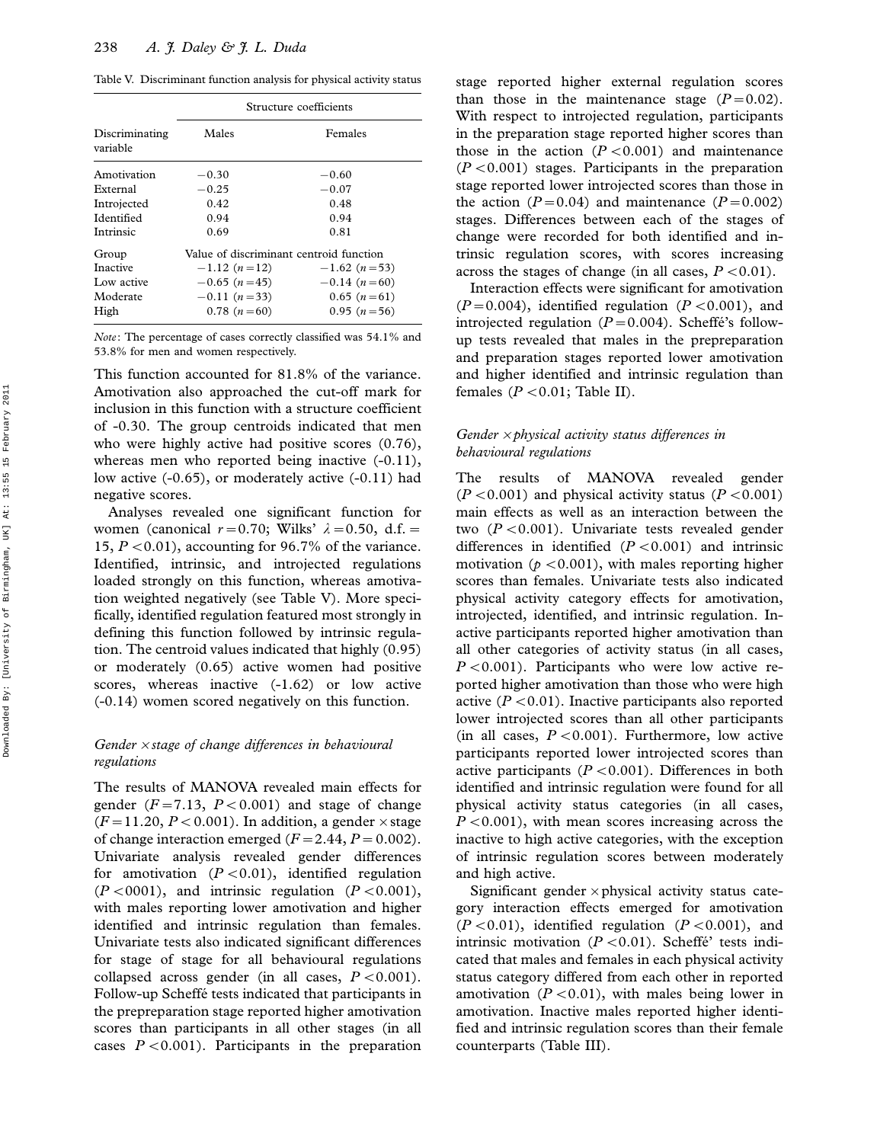Table V. Discriminant function analysis for physical activity status

|                            | Structure coefficients                  |                  |  |  |
|----------------------------|-----------------------------------------|------------------|--|--|
| Discriminating<br>variable | Males                                   | Females          |  |  |
| Amotivation                | $-0.30$                                 | $-0.60$          |  |  |
| External                   | $-0.25$                                 | $-0.07$          |  |  |
| Introjected                | 0.42                                    | 0.48             |  |  |
| Identified                 | 0.94                                    | 0.94             |  |  |
| Intrinsic                  | 0.69                                    | 0.81             |  |  |
| Group                      | Value of discriminant centroid function |                  |  |  |
| Inactive                   | $-1.12(n=12)$                           | $-1.62(n=53)$    |  |  |
| Low active                 | $-0.65$ $(n=45)$                        | $-0.14$ $(n=60)$ |  |  |
| Moderate                   | $-0.11(n=33)$                           | $0.65(n=61)$     |  |  |
| High                       | $0.78(n=60)$                            | $0.95(n=56)$     |  |  |

Note: The percentage of cases correctly classified was 54.1% and 53.8% for men and women respectively.

This function accounted for 81.8% of the variance. Amotivation also approached the cut-off mark for inclusion in this function with a structure coefficient of -0.30. The group centroids indicated that men who were highly active had positive scores (0.76), whereas men who reported being inactive  $(-0.11)$ , low active (-0.65), or moderately active (-0.11) had negative scores.

Analyses revealed one significant function for women (canonical  $r=0.70$ ; Wilks'  $\lambda=0.50$ , d.f. = 15,  $P < 0.01$ ), accounting for 96.7% of the variance. Identified, intrinsic, and introjected regulations loaded strongly on this function, whereas amotivation weighted negatively (see Table V). More specifically, identified regulation featured most strongly in defining this function followed by intrinsic regulation. The centroid values indicated that highly (0.95) or moderately (0.65) active women had positive scores, whereas inactive (-1.62) or low active (-0.14) women scored negatively on this function.

#### Gender  $\times$  stage of change differences in behavioural regulations

The results of MANOVA revealed main effects for gender  $(F = 7.13, P < 0.001)$  and stage of change  $(F = 11.20, P < 0.001)$ . In addition, a gender  $\times$  stage of change interaction emerged ( $F = 2.44$ ,  $P = 0.002$ ). Univariate analysis revealed gender differences for amotivation  $(P < 0.01)$ , identified regulation  $(P<0.001)$ , and intrinsic regulation  $(P<0.001)$ , with males reporting lower amotivation and higher identified and intrinsic regulation than females. Univariate tests also indicated significant differences for stage of stage for all behavioural regulations collapsed across gender (in all cases,  $P < 0.001$ ). Follow-up Scheffé tests indicated that participants in the prepreparation stage reported higher amotivation scores than participants in all other stages (in all cases  $P < 0.001$ ). Participants in the preparation

stage reported higher external regulation scores than those in the maintenance stage  $(P=0.02)$ . With respect to introjected regulation, participants in the preparation stage reported higher scores than those in the action  $(P<0.001)$  and maintenance  $(P<0.001)$  stages. Participants in the preparation stage reported lower introjected scores than those in the action ( $P = 0.04$ ) and maintenance ( $P = 0.002$ ) stages. Differences between each of the stages of change were recorded for both identified and intrinsic regulation scores, with scores increasing across the stages of change (in all cases,  $P < 0.01$ ).

Interaction effects were significant for amotivation  $(P=0.004)$ , identified regulation  $(P<0.001)$ , and introjected regulation  $(P=0.004)$ . Scheffé's followup tests revealed that males in the prepreparation and preparation stages reported lower amotivation and higher identified and intrinsic regulation than females  $(P < 0.01$ ; Table II).

#### Gender  $\times$  physical activity status differences in behavioural regulations

The results of MANOVA revealed gender  $(P<0.001)$  and physical activity status  $(P<0.001)$ main effects as well as an interaction between the two  $(P<0.001)$ . Univariate tests revealed gender differences in identified  $(P < 0.001)$  and intrinsic motivation ( $p < 0.001$ ), with males reporting higher scores than females. Univariate tests also indicated physical activity category effects for amotivation, introjected, identified, and intrinsic regulation. Inactive participants reported higher amotivation than all other categories of activity status (in all cases,  $P < 0.001$ ). Participants who were low active reported higher amotivation than those who were high active  $(P < 0.01)$ . Inactive participants also reported lower introjected scores than all other participants (in all cases,  $P < 0.001$ ). Furthermore, low active participants reported lower introjected scores than active participants ( $P < 0.001$ ). Differences in both identified and intrinsic regulation were found for all physical activity status categories (in all cases,  $P < 0.001$ ), with mean scores increasing across the inactive to high active categories, with the exception of intrinsic regulation scores between moderately and high active.

Significant gender  $\times$  physical activity status category interaction effects emerged for amotivation  $(P<0.01)$ , identified regulation  $(P<0.001)$ , and intrinsic motivation ( $P < 0.01$ ). Scheffé' tests indicated that males and females in each physical activity status category differed from each other in reported amotivation  $(P < 0.01)$ , with males being lower in amotivation. Inactive males reported higher identified and intrinsic regulation scores than their female counterparts (Table III).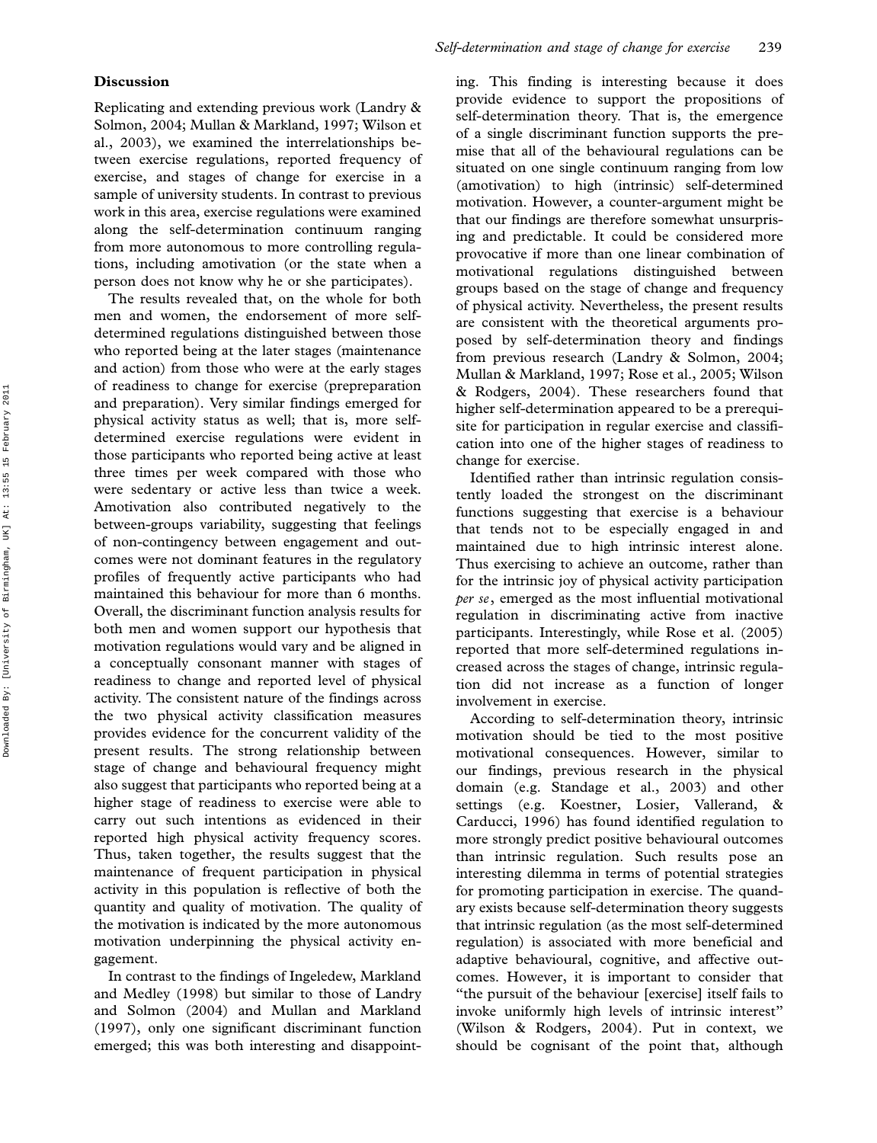#### Discussion

Replicating and extending previous work (Landry & Solmon, 2004; Mullan & Markland, 1997; Wilson et al., 2003), we examined the interrelationships between exercise regulations, reported frequency of exercise, and stages of change for exercise in a sample of university students. In contrast to previous work in this area, exercise regulations were examined along the self-determination continuum ranging from more autonomous to more controlling regulations, including amotivation (or the state when a person does not know why he or she participates).

The results revealed that, on the whole for both men and women, the endorsement of more selfdetermined regulations distinguished between those who reported being at the later stages (maintenance and action) from those who were at the early stages of readiness to change for exercise (prepreparation and preparation). Very similar findings emerged for physical activity status as well; that is, more selfdetermined exercise regulations were evident in those participants who reported being active at least three times per week compared with those who were sedentary or active less than twice a week. Amotivation also contributed negatively to the between-groups variability, suggesting that feelings of non-contingency between engagement and outcomes were not dominant features in the regulatory profiles of frequently active participants who had maintained this behaviour for more than 6 months. Overall, the discriminant function analysis results for both men and women support our hypothesis that motivation regulations would vary and be aligned in a conceptually consonant manner with stages of readiness to change and reported level of physical activity. The consistent nature of the findings across the two physical activity classification measures provides evidence for the concurrent validity of the present results. The strong relationship between stage of change and behavioural frequency might also suggest that participants who reported being at a higher stage of readiness to exercise were able to carry out such intentions as evidenced in their reported high physical activity frequency scores. Thus, taken together, the results suggest that the maintenance of frequent participation in physical activity in this population is reflective of both the quantity and quality of motivation. The quality of the motivation is indicated by the more autonomous motivation underpinning the physical activity engagement.

In contrast to the findings of Ingeledew, Markland and Medley (1998) but similar to those of Landry and Solmon (2004) and Mullan and Markland (1997), only one significant discriminant function emerged; this was both interesting and disappoint-

ing. This finding is interesting because it does provide evidence to support the propositions of self-determination theory. That is, the emergence of a single discriminant function supports the premise that all of the behavioural regulations can be situated on one single continuum ranging from low (amotivation) to high (intrinsic) self-determined motivation. However, a counter-argument might be that our findings are therefore somewhat unsurprising and predictable. It could be considered more provocative if more than one linear combination of motivational regulations distinguished between groups based on the stage of change and frequency of physical activity. Nevertheless, the present results are consistent with the theoretical arguments proposed by self-determination theory and findings from previous research (Landry & Solmon, 2004; Mullan & Markland, 1997; Rose et al., 2005; Wilson & Rodgers, 2004). These researchers found that higher self-determination appeared to be a prerequisite for participation in regular exercise and classification into one of the higher stages of readiness to change for exercise.

Identified rather than intrinsic regulation consistently loaded the strongest on the discriminant functions suggesting that exercise is a behaviour that tends not to be especially engaged in and maintained due to high intrinsic interest alone. Thus exercising to achieve an outcome, rather than for the intrinsic joy of physical activity participation per se, emerged as the most influential motivational regulation in discriminating active from inactive participants. Interestingly, while Rose et al. (2005) reported that more self-determined regulations increased across the stages of change, intrinsic regulation did not increase as a function of longer involvement in exercise.

According to self-determination theory, intrinsic motivation should be tied to the most positive motivational consequences. However, similar to our findings, previous research in the physical domain (e.g. Standage et al., 2003) and other settings (e.g. Koestner, Losier, Vallerand, & Carducci, 1996) has found identified regulation to more strongly predict positive behavioural outcomes than intrinsic regulation. Such results pose an interesting dilemma in terms of potential strategies for promoting participation in exercise. The quandary exists because self-determination theory suggests that intrinsic regulation (as the most self-determined regulation) is associated with more beneficial and adaptive behavioural, cognitive, and affective outcomes. However, it is important to consider that ''the pursuit of the behaviour [exercise] itself fails to invoke uniformly high levels of intrinsic interest'' (Wilson & Rodgers, 2004). Put in context, we should be cognisant of the point that, although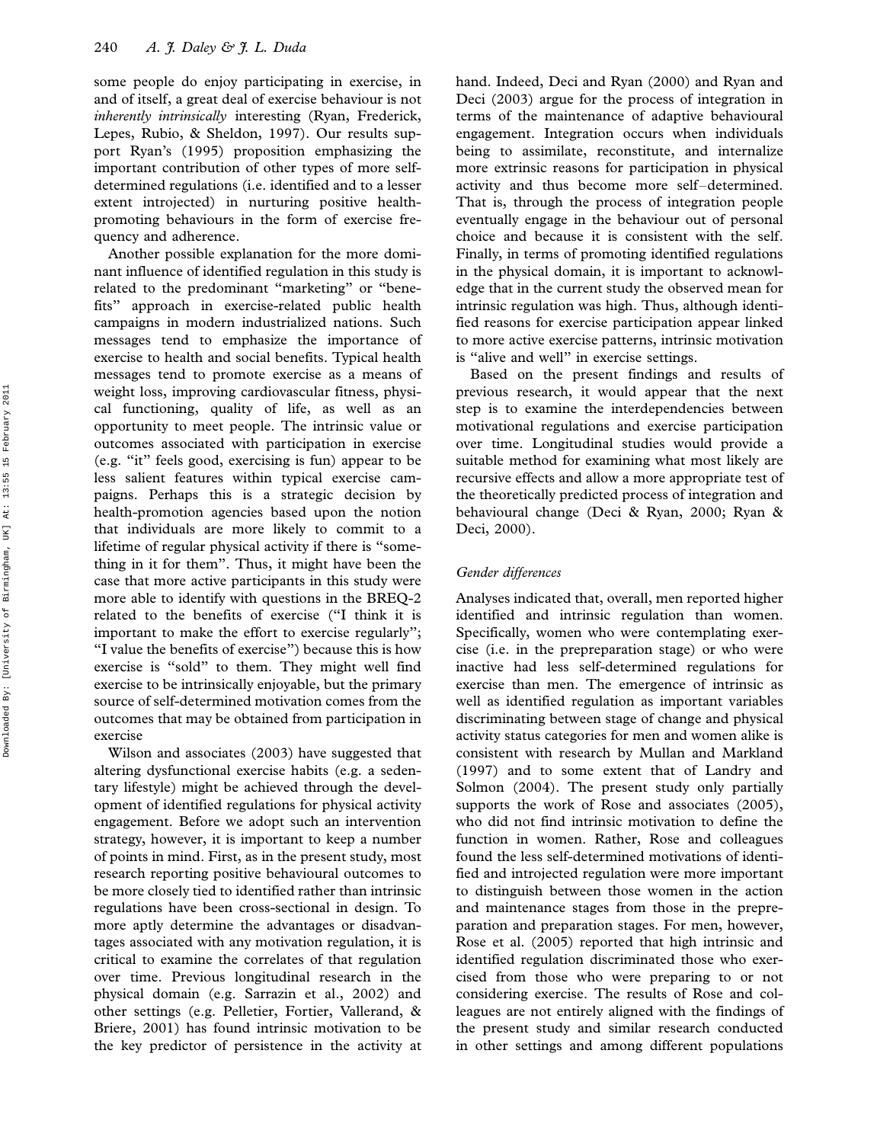some people do enjoy participating in exercise, in and of itself, a great deal of exercise behaviour is not inherently intrinsically interesting (Ryan, Frederick, Lepes, Rubio, & Sheldon, 1997). Our results support Ryan's (1995) proposition emphasizing the important contribution of other types of more selfdetermined regulations (i.e. identified and to a lesser extent introjected) in nurturing positive healthpromoting behaviours in the form of exercise frequency and adherence.

Another possible explanation for the more dominant influence of identified regulation in this study is related to the predominant ''marketing'' or ''benefits'' approach in exercise-related public health campaigns in modern industrialized nations. Such messages tend to emphasize the importance of exercise to health and social benefits. Typical health messages tend to promote exercise as a means of weight loss, improving cardiovascular fitness, physical functioning, quality of life, as well as an opportunity to meet people. The intrinsic value or outcomes associated with participation in exercise (e.g. ''it'' feels good, exercising is fun) appear to be less salient features within typical exercise campaigns. Perhaps this is a strategic decision by health-promotion agencies based upon the notion that individuals are more likely to commit to a lifetime of regular physical activity if there is ''something in it for them''. Thus, it might have been the case that more active participants in this study were more able to identify with questions in the BREQ-2 related to the benefits of exercise (''I think it is important to make the effort to exercise regularly''; ''I value the benefits of exercise'') because this is how exercise is ''sold'' to them. They might well find exercise to be intrinsically enjoyable, but the primary source of self-determined motivation comes from the outcomes that may be obtained from participation in exercise

Wilson and associates (2003) have suggested that altering dysfunctional exercise habits (e.g. a sedentary lifestyle) might be achieved through the development of identified regulations for physical activity engagement. Before we adopt such an intervention strategy, however, it is important to keep a number of points in mind. First, as in the present study, most research reporting positive behavioural outcomes to be more closely tied to identified rather than intrinsic regulations have been cross-sectional in design. To more aptly determine the advantages or disadvantages associated with any motivation regulation, it is critical to examine the correlates of that regulation over time. Previous longitudinal research in the physical domain (e.g. Sarrazin et al., 2002) and other settings (e.g. Pelletier, Fortier, Vallerand, & Briere, 2001) has found intrinsic motivation to be the key predictor of persistence in the activity at

hand. Indeed, Deci and Ryan (2000) and Ryan and Deci (2003) argue for the process of integration in terms of the maintenance of adaptive behavioural engagement. Integration occurs when individuals being to assimilate, reconstitute, and internalize more extrinsic reasons for participation in physical activity and thus become more self-determined. That is, through the process of integration people eventually engage in the behaviour out of personal choice and because it is consistent with the self. Finally, in terms of promoting identified regulations in the physical domain, it is important to acknowledge that in the current study the observed mean for intrinsic regulation was high. Thus, although identified reasons for exercise participation appear linked to more active exercise patterns, intrinsic motivation is "alive and well" in exercise settings.

Based on the present findings and results of previous research, it would appear that the next step is to examine the interdependencies between motivational regulations and exercise participation over time. Longitudinal studies would provide a suitable method for examining what most likely are recursive effects and allow a more appropriate test of the theoretically predicted process of integration and behavioural change (Deci & Ryan, 2000; Ryan & Deci, 2000).

#### Gender differences

Analyses indicated that, overall, men reported higher identified and intrinsic regulation than women. Specifically, women who were contemplating exercise (i.e. in the prepreparation stage) or who were inactive had less self-determined regulations for exercise than men. The emergence of intrinsic as well as identified regulation as important variables discriminating between stage of change and physical activity status categories for men and women alike is consistent with research by Mullan and Markland (1997) and to some extent that of Landry and Solmon (2004). The present study only partially supports the work of Rose and associates (2005), who did not find intrinsic motivation to define the function in women. Rather, Rose and colleagues found the less self-determined motivations of identified and introjected regulation were more important to distinguish between those women in the action and maintenance stages from those in the prepreparation and preparation stages. For men, however, Rose et al. (2005) reported that high intrinsic and identified regulation discriminated those who exercised from those who were preparing to or not considering exercise. The results of Rose and colleagues are not entirely aligned with the findings of the present study and similar research conducted in other settings and among different populations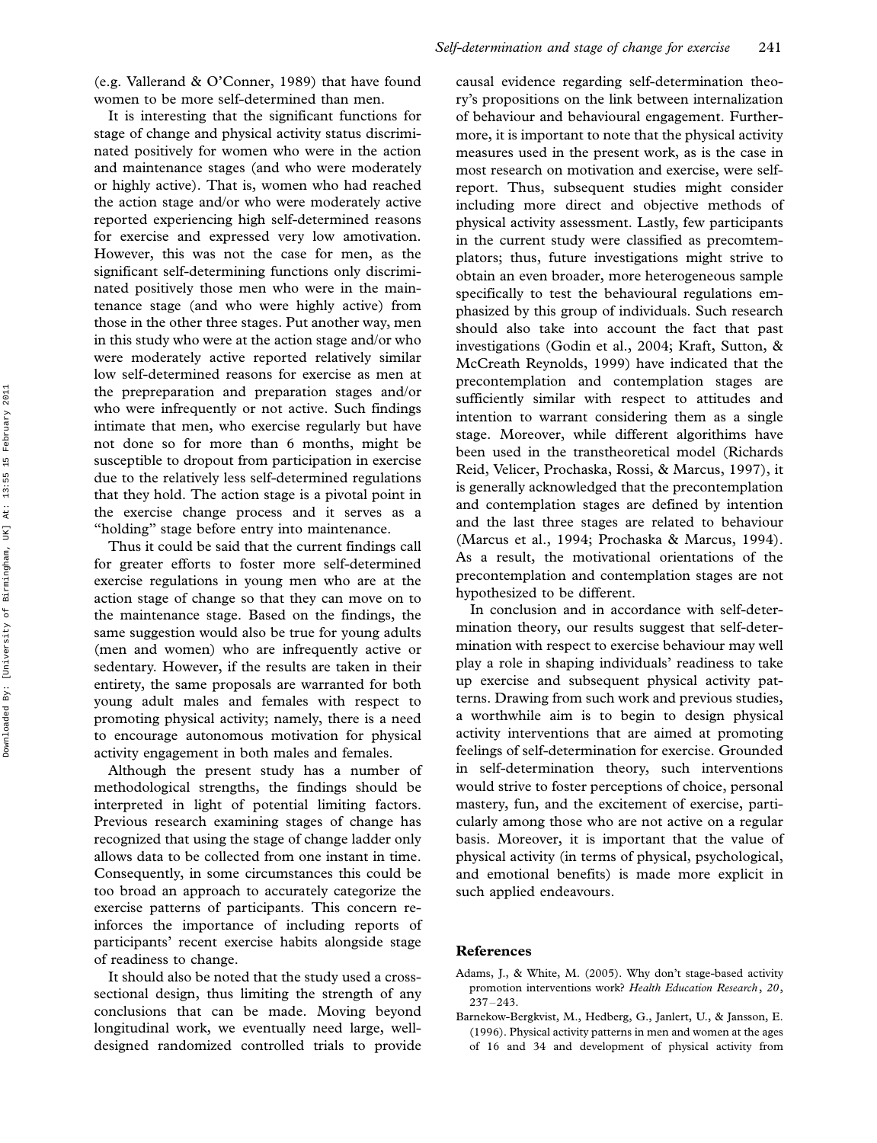(e.g. Vallerand & O'Conner, 1989) that have found women to be more self-determined than men.

It is interesting that the significant functions for stage of change and physical activity status discriminated positively for women who were in the action and maintenance stages (and who were moderately or highly active). That is, women who had reached the action stage and/or who were moderately active reported experiencing high self-determined reasons for exercise and expressed very low amotivation. However, this was not the case for men, as the significant self-determining functions only discriminated positively those men who were in the maintenance stage (and who were highly active) from those in the other three stages. Put another way, men in this study who were at the action stage and/or who were moderately active reported relatively similar low self-determined reasons for exercise as men at the prepreparation and preparation stages and/or who were infrequently or not active. Such findings intimate that men, who exercise regularly but have not done so for more than 6 months, might be susceptible to dropout from participation in exercise due to the relatively less self-determined regulations that they hold. The action stage is a pivotal point in the exercise change process and it serves as a ''holding'' stage before entry into maintenance.

Thus it could be said that the current findings call for greater efforts to foster more self-determined exercise regulations in young men who are at the action stage of change so that they can move on to the maintenance stage. Based on the findings, the same suggestion would also be true for young adults (men and women) who are infrequently active or sedentary. However, if the results are taken in their entirety, the same proposals are warranted for both young adult males and females with respect to promoting physical activity; namely, there is a need to encourage autonomous motivation for physical activity engagement in both males and females.

Although the present study has a number of methodological strengths, the findings should be interpreted in light of potential limiting factors. Previous research examining stages of change has recognized that using the stage of change ladder only allows data to be collected from one instant in time. Consequently, in some circumstances this could be too broad an approach to accurately categorize the exercise patterns of participants. This concern reinforces the importance of including reports of participants' recent exercise habits alongside stage of readiness to change.

It should also be noted that the study used a crosssectional design, thus limiting the strength of any conclusions that can be made. Moving beyond longitudinal work, we eventually need large, welldesigned randomized controlled trials to provide

causal evidence regarding self-determination theory's propositions on the link between internalization of behaviour and behavioural engagement. Furthermore, it is important to note that the physical activity measures used in the present work, as is the case in most research on motivation and exercise, were selfreport. Thus, subsequent studies might consider including more direct and objective methods of physical activity assessment. Lastly, few participants in the current study were classified as precomtemplators; thus, future investigations might strive to obtain an even broader, more heterogeneous sample specifically to test the behavioural regulations emphasized by this group of individuals. Such research should also take into account the fact that past investigations (Godin et al., 2004; Kraft, Sutton, & McCreath Reynolds, 1999) have indicated that the precontemplation and contemplation stages are sufficiently similar with respect to attitudes and intention to warrant considering them as a single stage. Moreover, while different algorithims have been used in the transtheoretical model (Richards Reid, Velicer, Prochaska, Rossi, & Marcus, 1997), it is generally acknowledged that the precontemplation and contemplation stages are defined by intention and the last three stages are related to behaviour (Marcus et al., 1994; Prochaska & Marcus, 1994). As a result, the motivational orientations of the precontemplation and contemplation stages are not hypothesized to be different.

In conclusion and in accordance with self-determination theory, our results suggest that self-determination with respect to exercise behaviour may well play a role in shaping individuals' readiness to take up exercise and subsequent physical activity patterns. Drawing from such work and previous studies, a worthwhile aim is to begin to design physical activity interventions that are aimed at promoting feelings of self-determination for exercise. Grounded in self-determination theory, such interventions would strive to foster perceptions of choice, personal mastery, fun, and the excitement of exercise, particularly among those who are not active on a regular basis. Moreover, it is important that the value of physical activity (in terms of physical, psychological, and emotional benefits) is made more explicit in such applied endeavours.

#### References

- Adams, J., & White, M. (2005). Why don't stage-based activity promotion interventions work? Health Education Research, 20,  $237 - 243$ .
- Barnekow-Bergkvist, M., Hedberg, G., Janlert, U., & Jansson, E. (1996). Physical activity patterns in men and women at the ages of 16 and 34 and development of physical activity from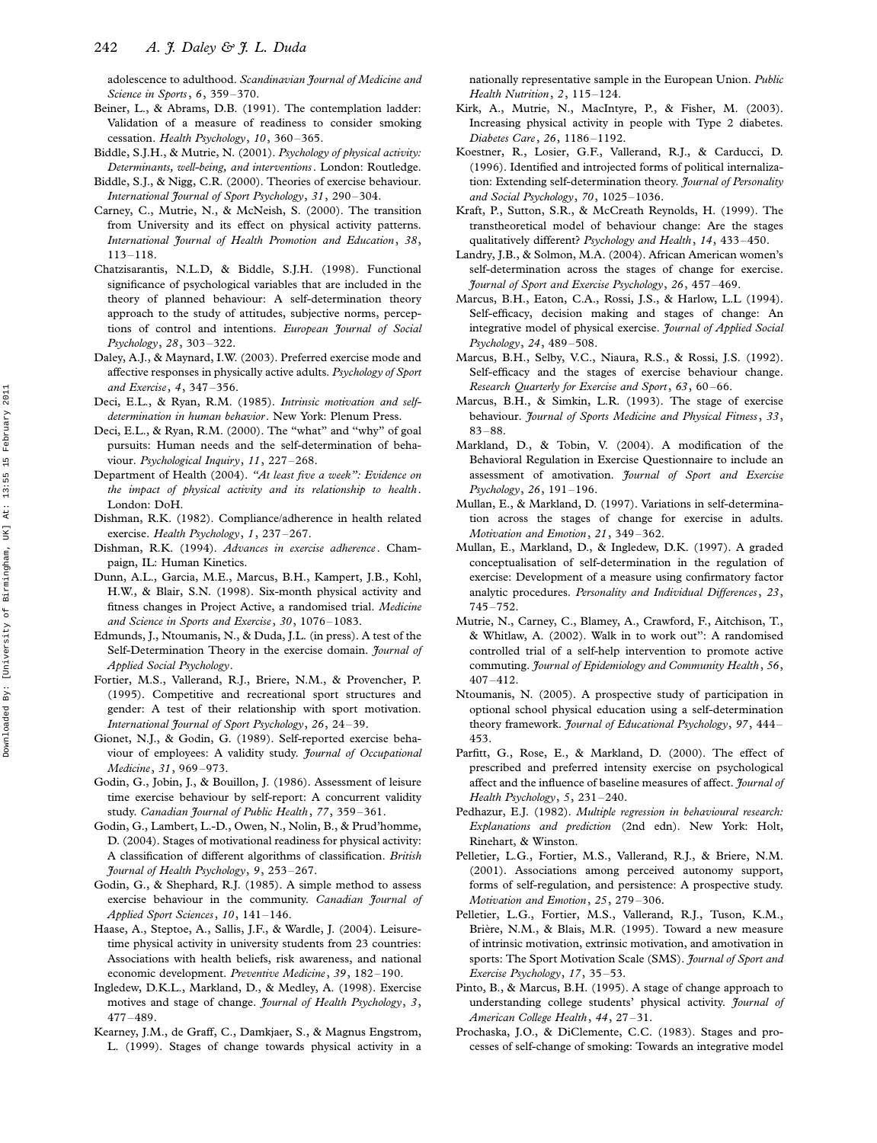adolescence to adulthood. Scandinavian Journal of Medicine and Science in Sports, 6, 359-370.

- Beiner, L., & Abrams, D.B. (1991). The contemplation ladder: Validation of a measure of readiness to consider smoking cessation. Health Psychology, 10, 360-365.
- Biddle, S.J.H., & Mutrie, N. (2001). Psychology of physical activity: Determinants, well-being, and interventions. London: Routledge.
- Biddle, S.J., & Nigg, C.R. (2000). Theories of exercise behaviour. International Journal of Sport Psychology, 31, 290-304.
- Carney, C., Mutrie, N., & McNeish, S. (2000). The transition from University and its effect on physical activity patterns. International Journal of Health Promotion and Education, 38,  $113 - 118$ .
- Chatzisarantis, N.L.D, & Biddle, S.J.H. (1998). Functional significance of psychological variables that are included in the theory of planned behaviour: A self-determination theory approach to the study of attitudes, subjective norms, perceptions of control and intentions. European Journal of Social Psychology, 28, 303-322.
- Daley, A.J., & Maynard, I.W. (2003). Preferred exercise mode and affective responses in physically active adults. Psychology of Sport and Exercise,  $4, 347-356$ .
- Deci, E.L., & Ryan, R.M. (1985). Intrinsic motivation and selfdetermination in human behavior. New York: Plenum Press.
- Deci, E.L., & Ryan, R.M. (2000). The "what" and "why" of goal pursuits: Human needs and the self-determination of behaviour. Psychological Inquiry, 11, 227-268.
- Department of Health (2004). "At least five a week": Evidence on the impact of physical activity and its relationship to health. London: DoH.
- Dishman, R.K. (1982). Compliance/adherence in health related exercise. Health Psychology,  $1, 237-267$ .
- Dishman, R.K. (1994). Advances in exercise adherence. Champaign, IL: Human Kinetics.
- Dunn, A.L., Garcia, M.E., Marcus, B.H., Kampert, J.B., Kohl, H.W., & Blair, S.N. (1998). Six-month physical activity and fitness changes in Project Active, a randomised trial. Medicine and Science in Sports and Exercise,  $30, 1076-1083$ .
- Edmunds, J., Ntoumanis, N., & Duda, J.L. (in press). A test of the Self-Determination Theory in the exercise domain. Journal of Applied Social Psychology.
- Fortier, M.S., Vallerand, R.J., Briere, N.M., & Provencher, P. (1995). Competitive and recreational sport structures and gender: A test of their relationship with sport motivation. International Journal of Sport Psychology, 26, 24-39.
- Gionet, N.J., & Godin, G. (1989). Self-reported exercise behaviour of employees: A validity study. Journal of Occupational Medicine, 31, 969-973.
- Godin, G., Jobin, J., & Bouillon, J. (1986). Assessment of leisure time exercise behaviour by self-report: A concurrent validity study. Canadian Journal of Public Health, 77, 359-361.
- Godin, G., Lambert, L.-D., Owen, N., Nolin, B., & Prud'homme, D. (2004). Stages of motivational readiness for physical activity: A classification of different algorithms of classification. British Journal of Health Psychology, 9, 253-267.
- Godin, G., & Shephard, R.J. (1985). A simple method to assess exercise behaviour in the community. Canadian Journal of Applied Sport Sciences,  $10, 141-146$ .
- Haase, A., Steptoe, A., Sallis, J.F., & Wardle, J. (2004). Leisuretime physical activity in university students from 23 countries: Associations with health beliefs, risk awareness, and national economic development. Preventive Medicine, 39, 182-190.
- Ingledew, D.K.L., Markland, D., & Medley, A. (1998). Exercise motives and stage of change. Journal of Health Psychology, 3, 477-489.
- Kearney, J.M., de Graff, C., Damkjaer, S., & Magnus Engstrom, L. (1999). Stages of change towards physical activity in a

nationally representative sample in the European Union. Public Health Nutrition, 2, 115-124.

- Kirk, A., Mutrie, N., MacIntyre, P., & Fisher, M. (2003). Increasing physical activity in people with Type 2 diabetes. Diabetes Care, 26, 1186-1192.
- Koestner, R., Losier, G.F., Vallerand, R.J., & Carducci, D. (1996). Identified and introjected forms of political internalization: Extending self-determination theory. *Journal of Personality* and Social Psychology, 70,  $1025-1036$ .
- Kraft, P., Sutton, S.R., & McCreath Reynolds, H. (1999). The transtheoretical model of behaviour change: Are the stages qualitatively different? Psychology and Health, 14, 433-450.
- Landry, J.B., & Solmon, M.A. (2004). African American women's self-determination across the stages of change for exercise. Journal of Sport and Exercise Psychology, 26, 457-469.
- Marcus, B.H., Eaton, C.A., Rossi, J.S., & Harlow, L.L (1994). Self-efficacy, decision making and stages of change: An integrative model of physical exercise. *Journal of Applied Social*  $Psychology, 24, 489-508.$
- Marcus, B.H., Selby, V.C., Niaura, R.S., & Rossi, J.S. (1992). Self-efficacy and the stages of exercise behaviour change. Research Quarterly for Exercise and Sport,  $63, 60-66$ .
- Marcus, B.H., & Simkin, L.R. (1993). The stage of exercise behaviour. Journal of Sports Medicine and Physical Fitness, 33,  $83 - 88.$
- Markland, D., & Tobin, V. (2004). A modification of the Behavioral Regulation in Exercise Questionnaire to include an assessment of amotivation. Journal of Sport and Exercise Psychology,  $26$ ,  $191-196$ .
- Mullan, E., & Markland, D. (1997). Variations in self-determination across the stages of change for exercise in adults. Motivation and Emotion, 21, 349-362.
- Mullan, E., Markland, D., & Ingledew, D.K. (1997). A graded conceptualisation of self-determination in the regulation of exercise: Development of a measure using confirmatory factor analytic procedures. Personality and Individual Differences, 23,  $745 - 752.$
- Mutrie, N., Carney, C., Blamey, A., Crawford, F., Aitchison, T., & Whitlaw, A. (2002). Walk in to work out'': A randomised controlled trial of a self-help intervention to promote active commuting. *Journal of Epidemiology and Community Health*, 56,  $407 - 412$ .
- Ntoumanis, N. (2005). A prospective study of participation in optional school physical education using a self-determination theory framework. Journal of Educational Psychology, 97, 444-453.
- Parfitt, G., Rose, E., & Markland, D. (2000). The effect of prescribed and preferred intensity exercise on psychological affect and the influence of baseline measures of affect. Journal of Health Psychology,  $5$ ,  $231-240$ .
- Pedhazur, E.J. (1982). Multiple regression in behavioural research: Explanations and prediction (2nd edn). New York: Holt, Rinehart, & Winston.
- Pelletier, L.G., Fortier, M.S., Vallerand, R.J., & Briere, N.M. (2001). Associations among perceived autonomy support, forms of self-regulation, and persistence: A prospective study. Motivation and Emotion, 25, 279-306.
- Pelletier, L.G., Fortier, M.S., Vallerand, R.J., Tuson, K.M., Brière, N.M., & Blais, M.R. (1995). Toward a new measure of intrinsic motivation, extrinsic motivation, and amotivation in sports: The Sport Motivation Scale (SMS). Journal of Sport and Exercise Psychology, 17, 35-53.
- Pinto, B., & Marcus, B.H. (1995). A stage of change approach to understanding college students' physical activity. Journal of American College Health, 44, 27-31.
- Prochaska, J.O., & DiClemente, C.C. (1983). Stages and processes of self-change of smoking: Towards an integrative model